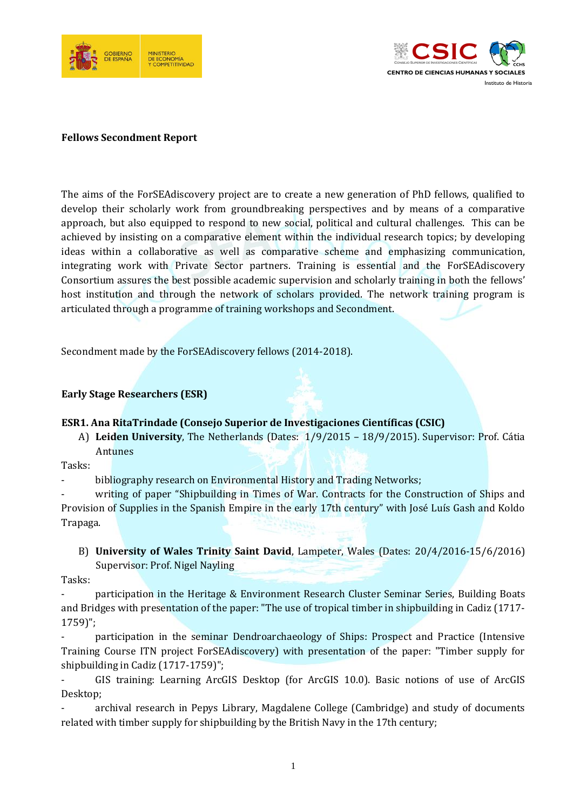



#### **Fellows Secondment Report**

The aims of the ForSEAdiscovery project are to create a new generation of PhD fellows, qualified to develop their scholarly work from groundbreaking perspectives and by means of a comparative approach, but also equipped to respond to new social, political and cultural challenges. This can be achieved by insisting on a comparative element within the individual research topics; by developing ideas within a collaborative as well as comparative scheme and emphasizing communication, integrating work with Private Sector partners. Training is essential and the ForSEAdiscovery Consortium assures the best possible academic supervision and scholarly training in both the fellows' host institution and through the network of scholars provided. The network training program is articulated through a programme of training workshops and Secondment.

Secondment made by the ForSEAdiscovery fellows (2014-2018).

#### **Early Stage Researchers (ESR)**

#### **ESR1. Ana RitaTrindade (Consejo Superior de Investigaciones Científicas (CSIC)**

A) **Leiden University**, The Netherlands (Dates: 1/9/2015 – 18/9/2015). Supervisor: Prof. Cátia Antunes

Tasks:

- bibliography research on Environmental History and Trading Networks;

writing of paper "Shipbuilding in Times of War. Contracts for the Construction of Ships and Provision of Supplies in the Spanish Empire in the early 17th century" with José Luís Gash and Koldo Trapaga.

B) **University of Wales Trinity Saint David**, Lampeter, Wales (Dates: 20/4/2016-15/6/2016) Supervisor: Prof. Nigel Nayling

Tasks:

participation in the Heritage & Environment Research Cluster Seminar Series, Building Boats and Bridges with presentation of the paper: "The use of tropical timber in shipbuilding in Cadiz (1717- 1759)";

- participation in the seminar Dendroarchaeology of Ships: Prospect and Practice (Intensive Training Course ITN project ForSEAdiscovery) with presentation of the paper: "Timber supply for shipbuilding in Cadiz (1717-1759)";

- GIS training: Learning ArcGIS Desktop (for ArcGIS 10.0). Basic notions of use of ArcGIS Desktop;

- archival research in Pepys Library, Magdalene College (Cambridge) and study of documents related with timber supply for shipbuilding by the British Navy in the 17th century;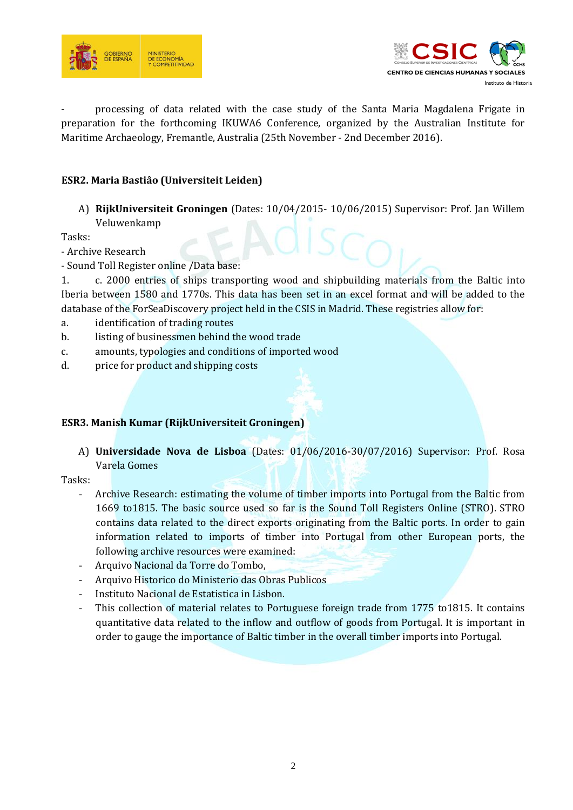



- processing of data related with the case study of the Santa Maria Magdalena Frigate in preparation for the forthcoming IKUWA6 Conference, organized by the Australian Institute for Maritime Archaeology, Fremantle, Australia (25th November - 2nd December 2016).

# **ESR2. Maria Bastiâo (Universiteit Leiden)**

A) **RijkUniversiteit Groningen** (Dates: 10/04/2015- 10/06/2015) Supervisor: Prof. Jan Willem Veluwenkamp

Tasks:

- Archive Research

- Sound Toll Register online /Data base:

1. c. 2000 entries of ships transporting wood and shipbuilding materials from the Baltic into Iberia between 1580 and 1770s. This data has been set in an excel format and will be added to the database of the ForSeaDiscovery project held in the CSIS in Madrid. These registries allow for:

- a. identification of trading routes
- b. listing of businessmen behind the wood trade
- c. amounts, typologies and conditions of imported wood
- d. price for product and shipping costs

#### **ESR3. Manish Kumar (RijkUniversiteit Groningen)**

A) **Universidade Nova de Lisboa** (Dates: 01/06/2016-30/07/2016) Supervisor: Prof. Rosa Varela Gomes

#### Tasks:

- Archive Research: estimating the volume of timber imports into Portugal from the Baltic from 1669 to1815. The basic source used so far is the Sound Toll Registers Online (STRO). STRO contains data related to the direct exports originating from the Baltic ports. In order to gain information related to imports of timber into Portugal from other European ports, the following archive resources were examined:
- Arquivo Nacional da Torre do Tombo,
- Arquivo Historico do Ministerio das Obras Publicos
- Instituto Nacional de Estatistica in Lisbon.
- This collection of material relates to Portuguese foreign trade from 1775 to1815. It contains quantitative data related to the inflow and outflow of goods from Portugal. It is important in order to gauge the importance of Baltic timber in the overall timber imports into Portugal.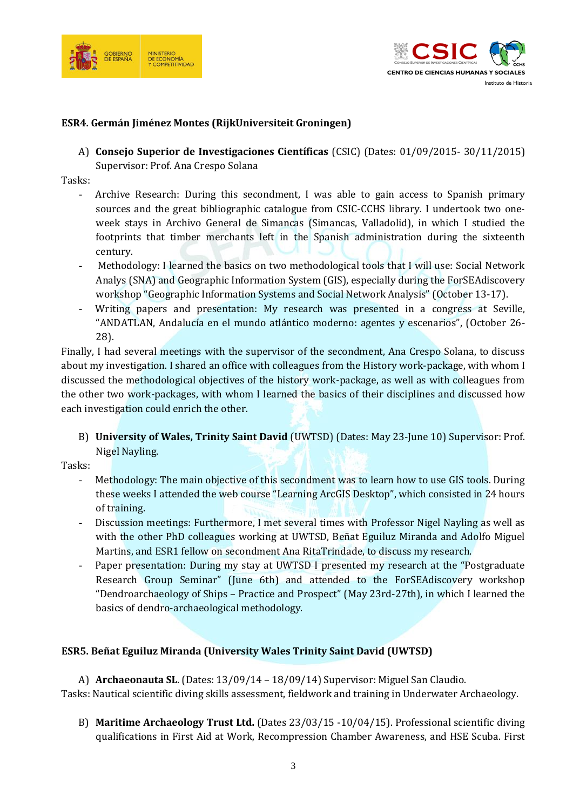



## **ESR4. Germán Jiménez Montes (RijkUniversiteit Groningen)**

A) **Consejo Superior de Investigaciones Científicas** (CSIC) (Dates: 01/09/2015- 30/11/2015) Supervisor: Prof. Ana Crespo Solana

Tasks:

- Archive Research: During this secondment, I was able to gain access to Spanish primary sources and the great bibliographic catalogue from CSIC-CCHS library. I undertook two oneweek stays in Archivo General de Simancas (Simancas, Valladolid), in which I studied the footprints that timber merchants left in the Spanish administration during the sixteenth century.
- Methodology: I learned the basics on two methodological tools that I will use: Social Network Analys (SNA) and Geographic Information System (GIS), especially during the ForSEAdiscovery workshop "Geographic Information Systems and Social Network Analysis" (October 13-17).
- Writing papers and presentation: My research was presented in a congress at Seville, "ANDATLAN, Andalucía en el mundo atlántico moderno: agentes y escenarios", (October 26- 28).

Finally, I had several meetings with the supervisor of the secondment, Ana Crespo Solana, to discuss about my investigation. I shared an office with colleagues from the History work-package, with whom I discussed the methodological objectives of the history work-package, as well as with colleagues from the other two work-packages, with whom I learned the basics of their disciplines and discussed how each investigation could enrich the other.

B) **University of Wales, Trinity Saint David** (UWTSD) (Dates: May 23-June 10) Supervisor: Prof. Nigel Nayling.

Tasks:

- Methodology: The main objective of this secondment was to learn how to use GIS tools. During these weeks I attended the web course "Learning ArcGIS Desktop", which consisted in 24 hours of training.
- Discussion meetings: Furthermore, I met several times with Professor Nigel Nayling as well as with the other PhD colleagues working at UWTSD, Beñat Eguiluz Miranda and Adolfo Miguel Martins, and ESR1 fellow on secondment Ana RitaTrindade, to discuss my research.
- Paper presentation: During my stay at UWTSD I presented my research at the "Postgraduate Research Group Seminar" (June 6th) and attended to the ForSEAdiscovery workshop "Dendroarchaeology of Ships – Practice and Prospect" (May 23rd-27th), in which I learned the basics of dendro-archaeological methodology.

## **ESR5. Beñat Eguiluz Miranda (University Wales Trinity Saint David (UWTSD)**

A) **Archaeonauta SL**. (Dates: 13/09/14 – 18/09/14) Supervisor: Miguel San Claudio. Tasks: Nautical scientific diving skills assessment, fieldwork and training in Underwater Archaeology.

B) **Maritime Archaeology Trust Ltd.** (Dates 23/03/15 -10/04/15). Professional scientific diving qualifications in First Aid at Work, Recompression Chamber Awareness, and HSE Scuba. First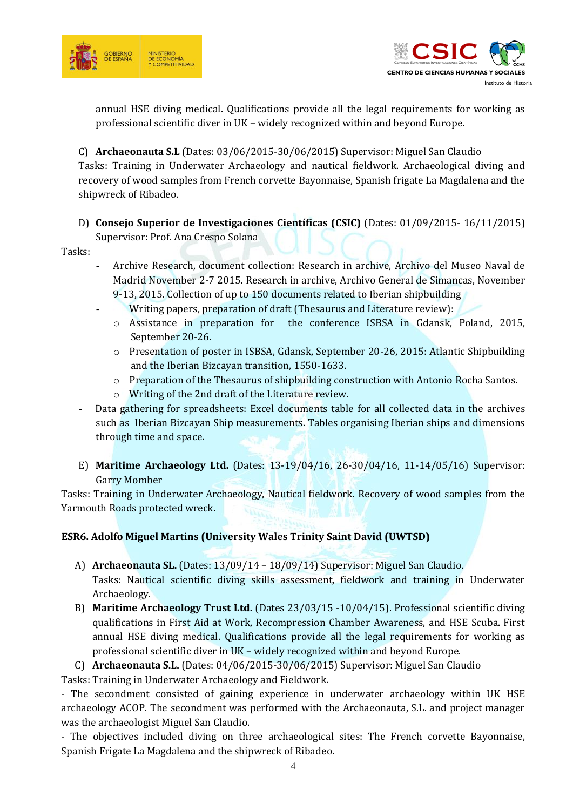



annual HSE diving medical. Qualifications provide all the legal requirements for working as professional scientific diver in UK – widely recognized within and beyond Europe.

C) **Archaeonauta S.L** (Dates: 03/06/2015-30/06/2015) Supervisor: Miguel San Claudio Tasks: Training in Underwater Archaeology and nautical fieldwork. Archaeological diving and recovery of wood samples from French corvette Bayonnaise, Spanish frigate La Magdalena and the shipwreck of Ribadeo.

# D) **Consejo Superior de Investigaciones Científicas (CSIC)** (Dates: 01/09/2015- 16/11/2015)

Supervisor: Prof. Ana Crespo Solana

Tasks:

- Archive Research, document collection: Research in archive, Archivo del Museo Naval de Madrid November 2-7 2015. Research in archive, Archivo General de Simancas, November 9-13, 2015. Collection of up to 150 documents related to Iberian shipbuilding
	- Writing papers, preparation of draft (Thesaurus and Literature review):
	- o Assistance in preparation for the conference ISBSA in Gdansk, Poland, 2015, September 20-26.
	- o Presentation of poster in ISBSA, Gdansk, September 20-26, 2015: Atlantic Shipbuilding and the Iberian Bizcayan transition, 1550-1633.
	- o Preparation of the Thesaurus of shipbuilding construction with Antonio Rocha Santos.
	- o Writing of the 2nd draft of the Literature review.
- Data gathering for spreadsheets: Excel documents table for all collected data in the archives such as Iberian Bizcayan Ship measurements. Tables organising Iberian ships and dimensions through time and space.
- E) **Maritime Archaeology Ltd.** (Dates: 13-19/04/16, 26-30/04/16, 11-14/05/16) Supervisor: Garry Momber

Tasks: Training in Underwater Archaeology, Nautical fieldwork. Recovery of wood samples from the Yarmouth Roads protected wreck.

# **ESR6. Adolfo Miguel Martins (University Wales Trinity Saint David (UWTSD)**

- A) **Archaeonauta SL.** (Dates: 13/09/14 18/09/14) Supervisor: Miguel San Claudio. Tasks: Nautical scientific diving skills assessment, fieldwork and training in Underwater Archaeology.
- B) **Maritime Archaeology Trust Ltd.** (Dates 23/03/15 -10/04/15). Professional scientific diving qualifications in First Aid at Work, Recompression Chamber Awareness, and HSE Scuba. First annual HSE diving medical. Qualifications provide all the legal requirements for working as professional scientific diver in UK – widely recognized within and beyond Europe.

# C) **Archaeonauta S.L.** (Dates: 04/06/2015-30/06/2015) Supervisor: Miguel San Claudio

Tasks: Training in Underwater Archaeology and Fieldwork.

- The secondment consisted of gaining experience in underwater archaeology within UK HSE archaeology ACOP. The secondment was performed with the Archaeonauta, S.L. and project manager was the archaeologist Miguel San Claudio.

- The objectives included diving on three archaeological sites: The French corvette Bayonnaise, Spanish Frigate La Magdalena and the shipwreck of Ribadeo.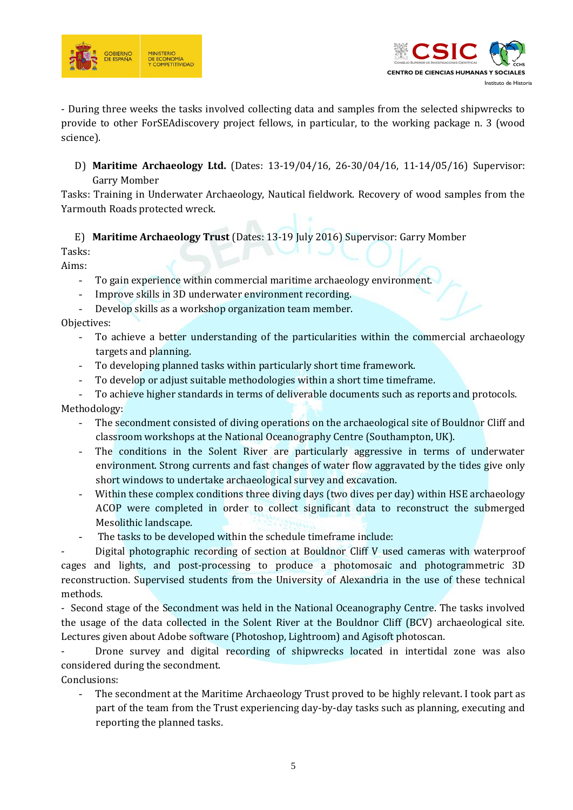



- During three weeks the tasks involved collecting data and samples from the selected shipwrecks to provide to other ForSEAdiscovery project fellows, in particular, to the working package n. 3 (wood science).

D) **Maritime Archaeology Ltd.** (Dates: 13-19/04/16, 26-30/04/16, 11-14/05/16) Supervisor: Garry Momber

Tasks: Training in Underwater Archaeology, Nautical fieldwork. Recovery of wood samples from the Yarmouth Roads protected wreck.

E) **Maritime Archaeology Trust** (Dates: 13-19 July 2016) Supervisor: Garry Momber Tasks:

Aims:

- To gain experience within commercial maritime archaeology environment.
- Improve skills in 3D underwater environment recording.
- Develop skills as a workshop organization team member.

Objectives:

- To achieve a better understanding of the particularities within the commercial archaeology targets and planning.
- To developing planned tasks within particularly short time framework.
- To develop or adjust suitable methodologies within a short time time frame.

To achieve higher standards in terms of deliverable documents such as reports and protocols. Methodology:

- The secondment consisted of diving operations on the archaeological site of Bouldnor Cliff and classroom workshops at the National Oceanography Centre (Southampton, UK).
- The conditions in the Solent River are particularly aggressive in terms of underwater environment. Strong currents and fast changes of water flow aggravated by the tides give only short windows to undertake archaeological survey and excavation.
- Within these complex conditions three diving days (two dives per day) within HSE archaeology ACOP were completed in order to collect significant data to reconstruct the submerged Mesolithic landscape.
- The tasks to be developed within the schedule timeframe include:

Digital photographic recording of section at Bouldnor Cliff V used cameras with waterproof cages and lights, and post-processing to produce a photomosaic and photogrammetric 3D reconstruction. Supervised students from the University of Alexandria in the use of these technical methods.

- Second stage of the Secondment was held in the National Oceanography Centre. The tasks involved the usage of the data collected in the Solent River at the Bouldnor Cliff (BCV) archaeological site. Lectures given about Adobe software (Photoshop, Lightroom) and Agisoft photoscan.

Drone survey and digital recording of shipwrecks located in intertidal zone was also considered during the secondment.

Conclusions:

The secondment at the Maritime Archaeology Trust proved to be highly relevant. I took part as part of the team from the Trust experiencing day-by-day tasks such as planning, executing and reporting the planned tasks.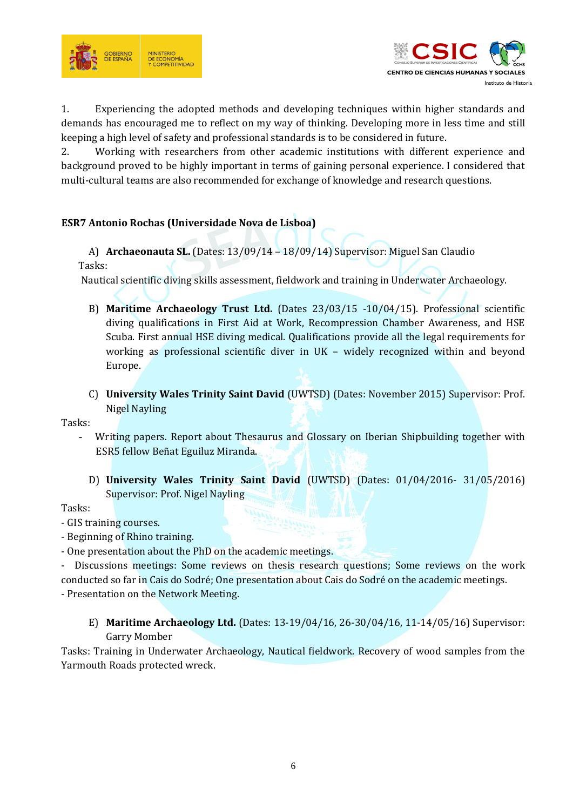



1. Experiencing the adopted methods and developing techniques within higher standards and demands has encouraged me to reflect on my way of thinking. Developing more in less time and still keeping a high level of safety and professional standards is to be considered in future.

2. Working with researchers from other academic institutions with different experience and background proved to be highly important in terms of gaining personal experience. I considered that multi-cultural teams are also recommended for exchange of knowledge and research questions.

# **ESR7 Antonio Rochas (Universidade Nova de Lisboa)**

A) **Archaeonauta SL.** (Dates: 13/09/14 – 18/09/14) Supervisor: Miguel San Claudio Tasks:

Nautical scientific diving skills assessment, fieldwork and training in Underwater Archaeology.

- B) **Maritime Archaeology Trust Ltd.** (Dates 23/03/15 -10/04/15). Professional scientific diving qualifications in First Aid at Work, Recompression Chamber Awareness, and HSE Scuba. First annual HSE diving medical. Qualifications provide all the legal requirements for working as professional scientific diver in UK – widely recognized within and beyond Europe.
- C) **University Wales Trinity Saint David** (UWTSD) (Dates: November 2015) Supervisor: Prof. Nigel Nayling

Tasks:

- Writing papers. Report about Thesaurus and Glossary on Iberian Shipbuilding together with ESR5 fellow Beñat Eguiluz Miranda.
	- D) **University Wales Trinity Saint David** (UWTSD) (Dates: 01/04/2016- 31/05/2016) Supervisor: Prof. Nigel Nayling

Tasks:

- GIS training courses.
- Beginning of Rhino training.
- One presentation about the PhD on the academic meetings.

- Discussions meetings: Some reviews on thesis research questions; Some reviews on the work conducted so far in Cais do Sodré; One presentation about Cais do Sodré on the academic meetings.

- Presentation on the Network Meeting.

E) **Maritime Archaeology Ltd.** (Dates: 13-19/04/16, 26-30/04/16, 11-14/05/16) Supervisor: Garry Momber

Tasks: Training in Underwater Archaeology, Nautical fieldwork. Recovery of wood samples from the Yarmouth Roads protected wreck.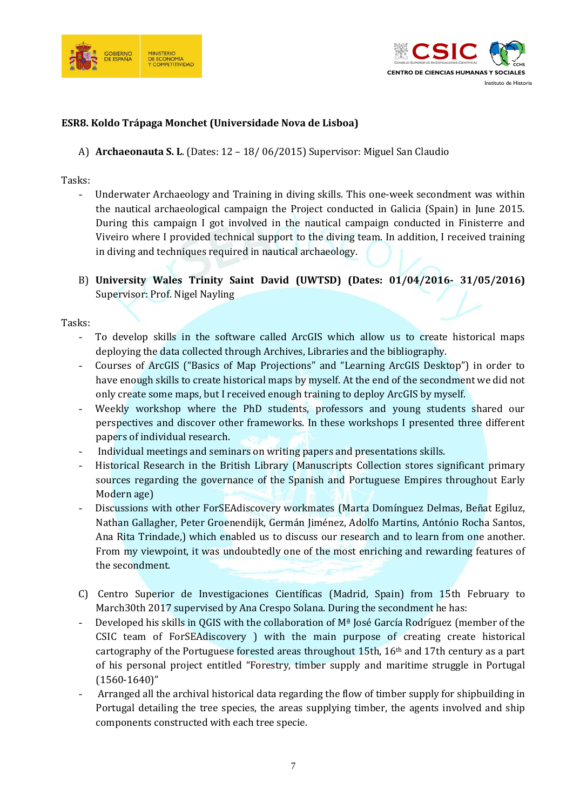



#### **ESR8. Koldo Trápaga Monchet (Universidade Nova de Lisboa)**

A) **Archaeonauta S. L**. (Dates: 12 – 18/ 06/2015) Supervisor: Miguel San Claudio

#### Tasks:

- Underwater Archaeology and Training in diving skills. This one-week secondment was within the nautical archaeological campaign the Project conducted in Galicia (Spain) in June 2015. During this campaign I got involved in the nautical campaign conducted in Finisterre and Viveiro where I provided technical support to the diving team. In addition, I received training in diving and techniques required in nautical archaeology.
- B) **University Wales Trinity Saint David (UWTSD) (Dates: 01/04/2016- 31/05/2016)**  Supervisor: Prof. Nigel Nayling

#### Tasks:

- To develop skills in the software called ArcGIS which allow us to create historical maps deploying the data collected through Archives, Libraries and the bibliography.
- Courses of ArcGIS ("Basics of Map Projections" and "Learning ArcGIS Desktop") in order to have enough skills to create historical maps by myself. At the end of the secondment we did not only create some maps, but I received enough training to deploy ArcGIS by myself.
- Weekly workshop where the PhD students, professors and young students shared our perspectives and discover other frameworks. In these workshops I presented three different papers of individual research.
- Individual meetings and seminars on writing papers and presentations skills.
- Historical Research in the British Library (Manuscripts Collection stores significant primary sources regarding the governance of the Spanish and Portuguese Empires throughout Early Modern age)
- Discussions with other ForSEAdiscovery workmates (Marta Domínguez Delmas, Beñat Egiluz, Nathan Gallagher, Peter Groenendijk, Germán Jiménez, Adolfo Martins, António Rocha Santos, Ana Rita Trindade,) which enabled us to discuss our research and to learn from one another. From my viewpoint, it was undoubtedly one of the most enriching and rewarding features of the secondment.
- C) Centro Superior de Investigaciones Científicas (Madrid, Spain) from 15th February to March30th 2017 supervised by Ana Crespo Solana. During the secondment he has:
- Developed his skills in QGIS with the collaboration of Mª José García Rodríguez (member of the CSIC team of ForSEAdiscovery ) with the main purpose of creating create historical cartography of the Portuguese forested areas throughout 15th, 16th and 17th century as a part of his personal project entitled "Forestry, timber supply and maritime struggle in Portugal (1560-1640)"
- Arranged all the archival historical data regarding the flow of timber supply for shipbuilding in Portugal detailing the tree species, the areas supplying timber, the agents involved and ship components constructed with each tree specie.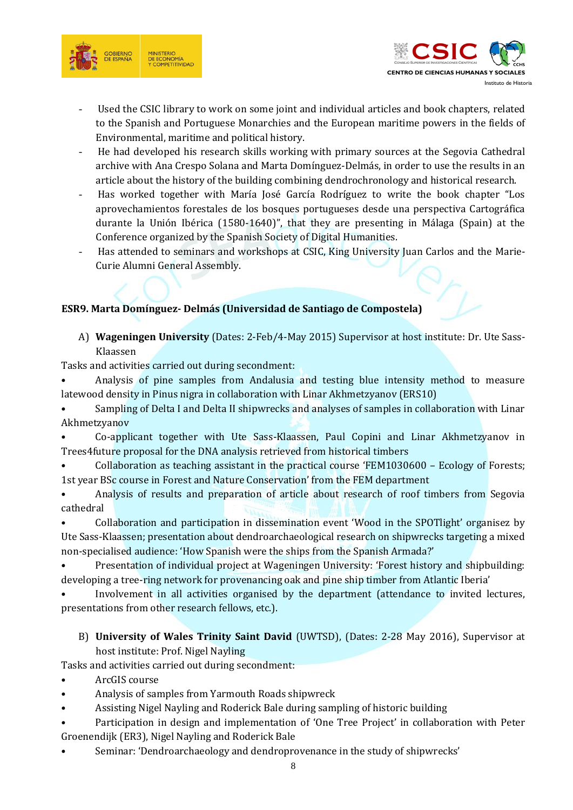



- Used the CSIC library to work on some joint and individual articles and book chapters, related to the Spanish and Portuguese Monarchies and the European maritime powers in the fields of Environmental, maritime and political history.
- He had developed his research skills working with primary sources at the Segovia Cathedral archive with Ana Crespo Solana and Marta Domínguez-Delmás, in order to use the results in an article about the history of the building combining dendrochronology and historical research.
- Has worked together with María José García Rodríguez to write the book chapter "Los aprovechamientos forestales de los bosques portugueses desde una perspectiva Cartográfica durante la Unión Ibérica (1580-1640)", that they are presenting in Málaga (Spain) at the Conference organized by the Spanish Society of Digital Humanities.
- Has attended to seminars and workshops at CSIC, King University Juan Carlos and the Marie-Curie Alumni General Assembly.

# **ESR9. Marta Domínguez- Delmás (Universidad de Santiago de Compostela)**

A) **Wageningen University** (Dates: 2-Feb/4-May 2015) Supervisor at host institute: Dr. Ute Sass-Klaassen

Tasks and activities carried out during secondment:

• Analysis of pine samples from Andalusia and testing blue intensity method to measure latewood density in Pinus nigra in collaboration with Linar Akhmetzyanov (ERS10)

• Sampling of Delta I and Delta II shipwrecks and analyses of samples in collaboration with Linar Akhmetzyanov

• Co-applicant together with Ute Sass-Klaassen, Paul Copini and Linar Akhmetzyanov in Trees4future proposal for the DNA analysis retrieved from historical timbers

• Collaboration as teaching assistant in the practical course 'FEM1030600 – Ecology of Forests; 1st year BSc course in Forest and Nature Conservation' from the FEM department

• Analysis of results and preparation of article about research of roof timbers from Segovia cathedral

• Collaboration and participation in dissemination event 'Wood in the SPOTlight' organisez by Ute Sass-Klaassen; presentation about dendroarchaeological research on shipwrecks targeting a mixed non-specialised audience: 'How Spanish were the ships from the Spanish Armada?'

• Presentation of individual project at Wageningen University: 'Forest history and shipbuilding: developing a tree-ring network for provenancing oak and pine ship timber from Atlantic Iberia'

Involvement in all activities organised by the department (attendance to invited lectures, presentations from other research fellows, etc.).

# B) **University of Wales Trinity Saint David** (UWTSD), (Dates: 2-28 May 2016), Supervisor at host institute: Prof. Nigel Nayling

Tasks and activities carried out during secondment:

- ArcGIS course
- Analysis of samples from Yarmouth Roads shipwreck
- Assisting Nigel Nayling and Roderick Bale during sampling of historic building
- Participation in design and implementation of 'One Tree Project' in collaboration with Peter Groenendijk (ER3), Nigel Nayling and Roderick Bale
- Seminar: 'Dendroarchaeology and dendroprovenance in the study of shipwrecks'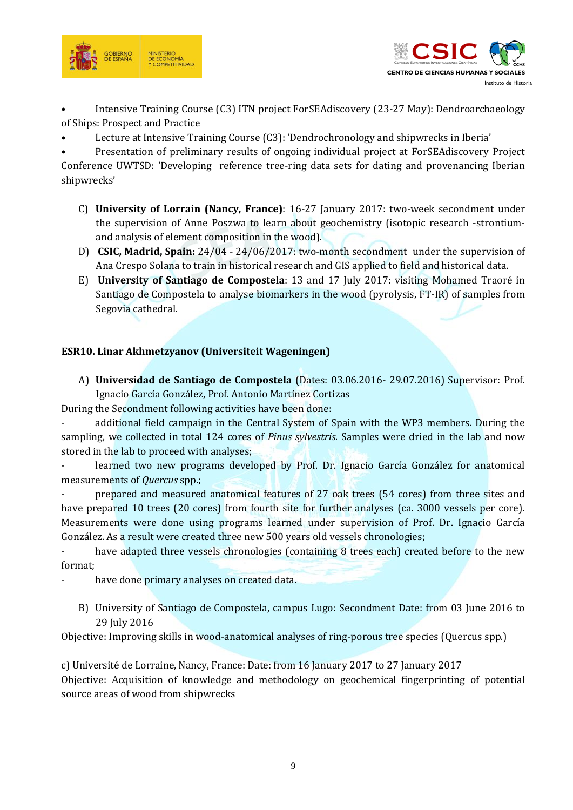



• Intensive Training Course (C3) ITN project ForSEAdiscovery (23-27 May): Dendroarchaeology of Ships: Prospect and Practice

• Lecture at Intensive Training Course (C3): 'Dendrochronology and shipwrecks in Iberia'

• Presentation of preliminary results of ongoing individual project at ForSEAdiscovery Project

Conference UWTSD: 'Developing reference tree-ring data sets for dating and provenancing Iberian shipwrecks'

- C) **University of Lorrain (Nancy, France)**: 16-27 January 2017: two-week secondment under the supervision of Anne Poszwa to learn about geochemistry (isotopic research -strontiumand analysis of element composition in the wood).
- D) **CSIC, Madrid, Spain:** 24/04 24/06/2017: two-month secondment under the supervision of Ana Crespo Solana to train in historical research and GIS applied to field and historical data.
- E) **University of Santiago de Compostela**: 13 and 17 July 2017: visiting Mohamed Traoré in Santiago de Compostela to analyse biomarkers in the wood (pyrolysis, FT-IR) of samples from Segovia cathedral.

# **ESR10. Linar Akhmetzyanov (Universiteit Wageningen)**

A) **Universidad de Santiago de Compostela** (Dates: 03.06.2016- 29.07.2016) Supervisor: Prof. Ignacio García González, Prof. Antonio Martínez Cortizas

During the Secondment following activities have been done:

additional field campaign in the Central System of Spain with the WP3 members. During the sampling, we collected in total 124 cores of *Pinus sylvestris*. Samples were dried in the lab and now stored in the lab to proceed with analyses;

learned two new programs developed by Prof. Dr. Ignacio García González for anatomical measurements of *Quercus* spp.;

- prepared and measured anatomical features of 27 oak trees (54 cores) from three sites and have prepared 10 trees (20 cores) from fourth site for further analyses (ca. 3000 vessels per core). Measurements were done using programs learned under supervision of Prof. Dr. Ignacio García González. As a result were created three new 500 years old vessels chronologies;

have adapted three vessels chronologies (containing 8 trees each) created before to the new format;

- have done primary analyses on created data.

B) University of Santiago de Compostela, campus Lugo: Secondment Date: from 03 June 2016 to 29 July 2016

Objective: Improving skills in wood-anatomical analyses of ring-porous tree species (Quercus spp.)

c) Université de Lorraine, Nancy, France: Date: from 16 January 2017 to 27 January 2017 Objective: Acquisition of knowledge and methodology on geochemical fingerprinting of potential source areas of wood from shipwrecks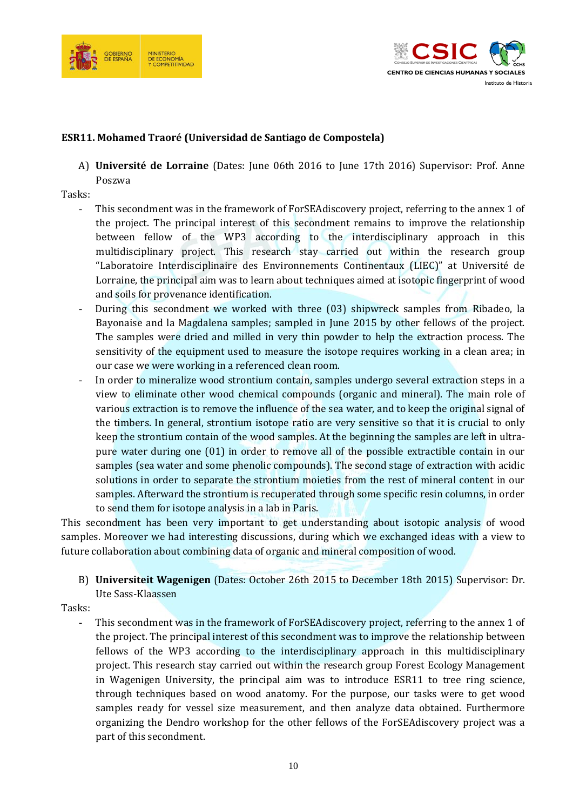



## **ESR11. Mohamed Traoré (Universidad de Santiago de Compostela)**

A) **Université de Lorraine** (Dates: June 06th 2016 to June 17th 2016) Supervisor: Prof. Anne Poszwa

Tasks:

- This secondment was in the framework of ForSEAdiscovery project, referring to the annex 1 of the project. The principal interest of this secondment remains to improve the relationship between fellow of the WP3 according to the interdisciplinary approach in this multidisciplinary project. This research stay carried out within the research group "Laboratoire Interdisciplinaire des Environnements Continentaux (LIEC)" at Université de Lorraine, the principal aim was to learn about techniques aimed at isotopic fingerprint of wood and soils for provenance identification.
- During this secondment we worked with three (03) shipwreck samples from Ribadeo, la Bayonaise and la Magdalena samples; sampled in June 2015 by other fellows of the project. The samples were dried and milled in very thin powder to help the extraction process. The sensitivity of the equipment used to measure the isotope requires working in a clean area; in our case we were working in a referenced clean room.
- In order to mineralize wood strontium contain, samples undergo several extraction steps in a view to eliminate other wood chemical compounds (organic and mineral). The main role of various extraction is to remove the influence of the sea water, and to keep the original signal of the timbers. In general, strontium isotope ratio are very sensitive so that it is crucial to only keep the strontium contain of the wood samples. At the beginning the samples are left in ultrapure water during one (01) in order to remove all of the possible extractible contain in our samples (sea water and some phenolic compounds). The second stage of extraction with acidic solutions in order to separate the strontium moieties from the rest of mineral content in our samples. Afterward the strontium is recuperated through some specific resin columns, in order to send them for isotope analysis in a lab in Paris.

This secondment has been very important to get understanding about isotopic analysis of wood samples. Moreover we had interesting discussions, during which we exchanged ideas with a view to future collaboration about combining data of organic and mineral composition of wood.

B) **Universiteit Wagenigen** (Dates: October 26th 2015 to December 18th 2015) Supervisor: Dr. Ute Sass-Klaassen

Tasks:

- This secondment was in the framework of ForSEAdiscovery project, referring to the annex 1 of the project. The principal interest of this secondment was to improve the relationship between fellows of the WP3 according to the interdisciplinary approach in this multidisciplinary project. This research stay carried out within the research group Forest Ecology Management in Wagenigen University, the principal aim was to introduce ESR11 to tree ring science, through techniques based on wood anatomy. For the purpose, our tasks were to get wood samples ready for vessel size measurement, and then analyze data obtained. Furthermore organizing the Dendro workshop for the other fellows of the ForSEAdiscovery project was a part of this secondment.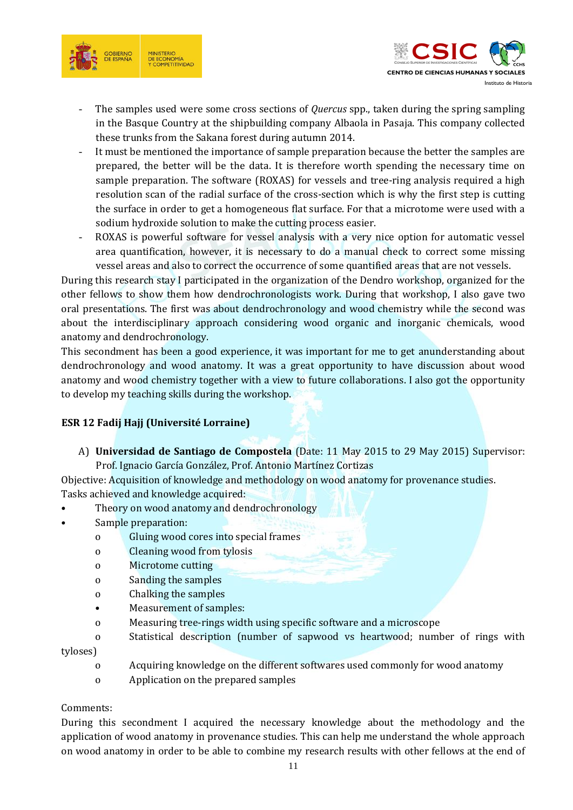



- The samples used were some cross sections of *Quercus* spp., taken during the spring sampling in the Basque Country at the shipbuilding company Albaola in Pasaja. This company collected these trunks from the Sakana forest during autumn 2014.
- It must be mentioned the importance of sample preparation because the better the samples are prepared, the better will be the data. It is therefore worth spending the necessary time on sample preparation. The software (ROXAS) for vessels and tree-ring analysis required a high resolution scan of the radial surface of the cross-section which is why the first step is cutting the surface in order to get a homogeneous flat surface. For that a microtome were used with a sodium hydroxide solution to make the cutting process easier.
- ROXAS is powerful software for vessel analysis with a very nice option for automatic vessel area quantification, however, it is necessary to do a manual check to correct some missing vessel areas and also to correct the occurrence of some quantified areas that are not vessels.

During this research stay I participated in the organization of the Dendro workshop, organized for the other fellows to show them how dendrochronologists work. During that workshop, I also gave two oral presentations. The first was about dendrochronology and wood chemistry while the second was about the interdisciplinary approach considering wood organic and inorganic chemicals, wood anatomy and dendrochronology.

This secondment has been a good experience, it was important for me to get anunderstanding about dendrochronology and wood anatomy. It was a great opportunity to have discussion about wood anatomy and wood chemistry together with a view to future collaborations. I also got the opportunity to develop my teaching skills during the workshop.

# **ESR 12 Fadij Hajj (Université Lorraine)**

A) **Universidad de Santiago de Compostela** (Date: 11 May 2015 to 29 May 2015) Supervisor: Prof. Ignacio García González, Prof. Antonio Martínez Cortizas

Objective: Acquisition of knowledge and methodology on wood anatomy for provenance studies. Tasks achieved and knowledge acquired:

- Theory on wood anatomy and dendrochronology
- Sample preparation:
	- o Gluing wood cores into special frames
	- o Cleaning wood from tylosis
	- o Microtome cutting
	- o Sanding the samples
	- o Chalking the samples
	- Measurement of samples:
	- o Measuring tree-rings width using specific software and a microscope
	- o Statistical description (number of sapwood vs heartwood; number of rings with

#### tyloses)

- o Acquiring knowledge on the different softwares used commonly for wood anatomy
- o Application on the prepared samples

## Comments:

During this secondment I acquired the necessary knowledge about the methodology and the application of wood anatomy in provenance studies. This can help me understand the whole approach on wood anatomy in order to be able to combine my research results with other fellows at the end of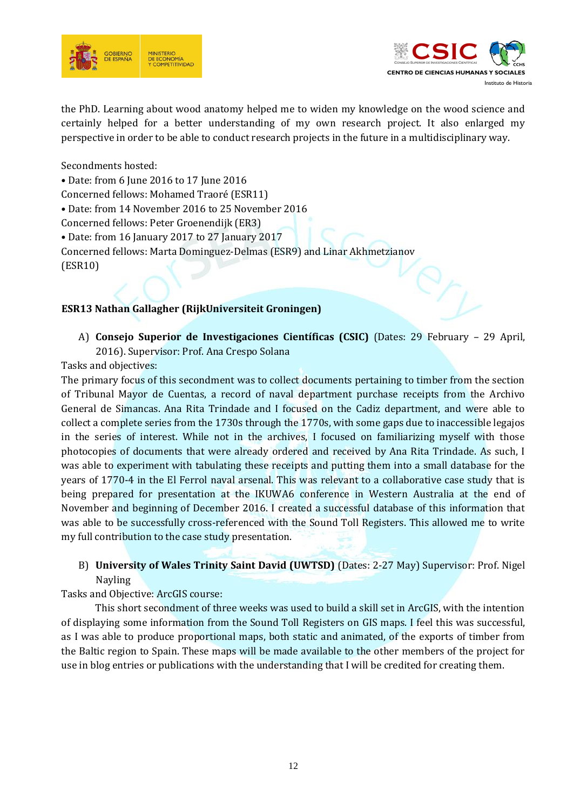



the PhD. Learning about wood anatomy helped me to widen my knowledge on the wood science and certainly helped for a better understanding of my own research project. It also enlarged my perspective in order to be able to conduct research projects in the future in a multidisciplinary way.

Secondments hosted:

• Date: from 6 June 2016 to 17 June 2016

Concerned fellows: Mohamed Traoré (ESR11)

• Date: from 14 November 2016 to 25 November 2016

Concerned fellows: Peter Groenendijk (ER3)

• Date: from 16 January 2017 to 27 January 2017

Concerned fellows: Marta Dominguez-Delmas (ESR9) and Linar Akhmetzianov

(ESR10)

## **ESR13 Nathan Gallagher (RijkUniversiteit Groningen)**

A) **Consejo Superior de Investigaciones Científicas (CSIC)** (Dates: 29 February – 29 April, 2016). Supervisor: Prof. Ana Crespo Solana

Tasks and objectives:

The primary focus of this secondment was to collect documents pertaining to timber from the section of Tribunal Mayor de Cuentas, a record of naval department purchase receipts from the Archivo General de Simancas. Ana Rita Trindade and I focused on the Cadiz department, and were able to collect a complete series from the 1730s through the 1770s, with some gaps due to inaccessible legajos in the series of interest. While not in the archives, I focused on familiarizing myself with those photocopies of documents that were already ordered and received by Ana Rita Trindade. As such, I was able to experiment with tabulating these receipts and putting them into a small database for the years of 1770-4 in the El Ferrol naval arsenal. This was relevant to a collaborative case study that is being prepared for presentation at the IKUWA6 conference in Western Australia at the end of November and beginning of December 2016. I created a successful database of this information that was able to be successfully cross-referenced with the Sound Toll Registers. This allowed me to write my full contribution to the case study presentation.

# B) **University of Wales Trinity Saint David (UWTSD)** (Dates: 2-27 May) Supervisor: Prof. Nigel Nayling

Tasks and Objective: ArcGIS course:

This short secondment of three weeks was used to build a skill set in ArcGIS, with the intention of displaying some information from the Sound Toll Registers on GIS maps. I feel this was successful, as I was able to produce proportional maps, both static and animated, of the exports of timber from the Baltic region to Spain. These maps will be made available to the other members of the project for use in blog entries or publications with the understanding that I will be credited for creating them.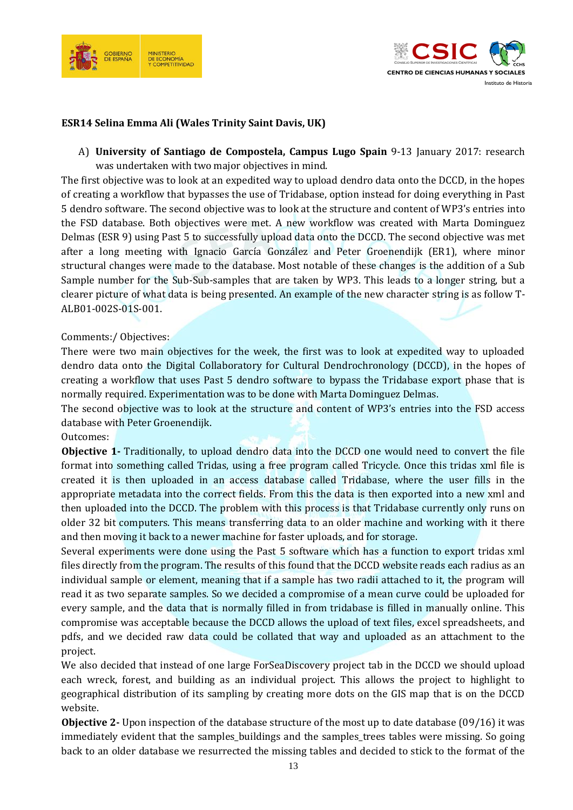



#### **ESR14 Selina Emma Ali (Wales Trinity Saint Davis, UK)**

A) **University of Santiago de Compostela, Campus Lugo Spain** 9-13 January 2017: research was undertaken with two major objectives in mind.

The first objective was to look at an expedited way to upload dendro data onto the DCCD, in the hopes of creating a workflow that bypasses the use of Tridabase, option instead for doing everything in Past 5 dendro software. The second objective was to look at the structure and content of WP3's entries into the FSD database. Both objectives were met. A new workflow was created with Marta Dominguez Delmas (ESR 9) using Past 5 to successfully upload data onto the DCCD. The second objective was met after a long meeting with Ignacio García González and Peter Groenendijk (ER1), where minor structural changes were made to the database. Most notable of these changes is the addition of a Sub Sample number for the Sub-Sub-samples that are taken by WP3. This leads to a longer string, but a clearer picture of what data is being presented. An example of the new character string is as follow T-ALB01-002S-01S-001.

#### Comments:/ Objectives:

There were two main objectives for the week, the first was to look at expedited way to uploaded dendro data onto the Digital Collaboratory for Cultural Dendrochronology (DCCD), in the hopes of creating a workflow that uses Past 5 dendro software to bypass the Tridabase export phase that is normally required. Experimentation was to be done with Marta Dominguez Delmas.

The second objective was to look at the structure and content of WP3's entries into the FSD access database with Peter Groenendijk.

#### Outcomes:

**Objective 1-** Traditionally, to upload dendro data into the DCCD one would need to convert the file format into something called Tridas, using a free program called Tricycle. Once this tridas xml file is created it is then uploaded in an access database called Tridabase, where the user fills in the appropriate metadata into the correct fields. From this the data is then exported into a new xml and then uploaded into the DCCD. The problem with this process is that Tridabase currently only runs on older 32 bit computers. This means transferring data to an older machine and working with it there and then moving it back to a newer machine for faster uploads, and for storage.

Several experiments were done using the Past 5 software which has a function to export tridas xml files directly from the program. The results of this found that the DCCD website reads each radius as an individual sample or element, meaning that if a sample has two radii attached to it, the program will read it as two separate samples. So we decided a compromise of a mean curve could be uploaded for every sample, and the data that is normally filled in from tridabase is filled in manually online. This compromise was acceptable because the DCCD allows the upload of text files, excel spreadsheets, and pdfs, and we decided raw data could be collated that way and uploaded as an attachment to the project.

We also decided that instead of one large ForSeaDiscovery project tab in the DCCD we should upload each wreck, forest, and building as an individual project. This allows the project to highlight to geographical distribution of its sampling by creating more dots on the GIS map that is on the DCCD website.

**Objective 2-** Upon inspection of the database structure of the most up to date database (09/16) it was immediately evident that the samples\_buildings and the samples\_trees tables were missing. So going back to an older database we resurrected the missing tables and decided to stick to the format of the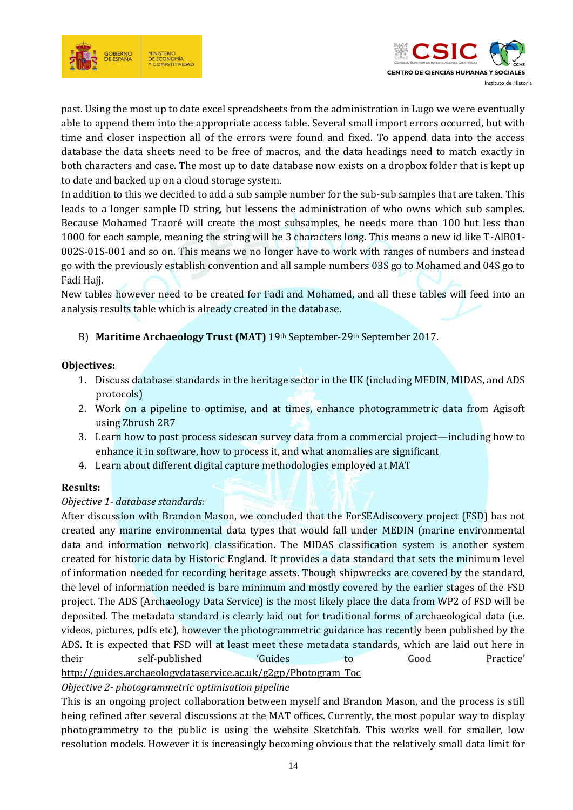



past. Using the most up to date excel spreadsheets from the administration in Lugo we were eventually able to append them into the appropriate access table. Several small import errors occurred, but with time and closer inspection all of the errors were found and fixed. To append data into the access database the data sheets need to be free of macros, and the data headings need to match exactly in both characters and case. The most up to date database now exists on a dropbox folder that is kept up to date and backed up on a cloud storage system.

In addition to this we decided to add a sub sample number for the sub-sub samples that are taken. This leads to a longer sample ID string, but lessens the administration of who owns which sub samples. Because Mohamed Traoré will create the most subsamples, he needs more than 100 but less than 1000 for each sample, meaning the string will be 3 characters long. This means a new id like T-AlB01- 002S-01S-001 and so on. This means we no longer have to work with ranges of numbers and instead go with the previously establish convention and all sample numbers 03S go to Mohamed and 04S go to Fadi Hajj.

New tables however need to be created for Fadi and Mohamed, and all these tables will feed into an analysis results table which is already created in the database.

# B) **Maritime Archaeology Trust (MAT)** 19th September-29th September 2017.

## **Objectives:**

- 1. Discuss database standards in the heritage sector in the UK (including MEDIN, MIDAS, and ADS protocols)
- 2. Work on a pipeline to optimise, and at times, enhance photogrammetric data from Agisoft using Zbrush 2R7
- 3. Learn how to post process sidescan survey data from a commercial project—including how to enhance it in software, how to process it, and what anomalies are significant
- 4. Learn about different digital capture methodologies employed at MAT

## **Results:**

## *Objective 1- database standards:*

After discussion with Brandon Mason, we concluded that the ForSEAdiscovery project (FSD) has not created any marine environmental data types that would fall under MEDIN (marine environmental data and information network) classification. The MIDAS classification system is another system created for historic data by Historic England. It provides a data standard that sets the minimum level of information needed for recording heritage assets. Though shipwrecks are covered by the standard, the level of information needed is bare minimum and mostly covered by the earlier stages of the FSD project. The ADS (Archaeology Data Service) is the most likely place the data from WP2 of FSD will be deposited. The metadata standard is clearly laid out for traditional forms of archaeological data (i.e. videos, pictures, pdfs etc), however the photogrammetric guidance has recently been published by the ADS. It is expected that FSD will at least meet these metadata standards, which are laid out here in their self-published 'Guides to Good Practice' [http://guides.archaeologydataservice.ac.uk/g2gp/Photogram\\_Toc](http://guides.archaeologydataservice.ac.uk/g2gp/Photogram_Toc)

## *Objective 2- photogrammetric optimisation pipeline*

This is an ongoing project collaboration between myself and Brandon Mason, and the process is still being refined after several discussions at the MAT offices. Currently, the most popular way to display photogrammetry to the public is using the website Sketchfab. This works well for smaller, low resolution models. However it is increasingly becoming obvious that the relatively small data limit for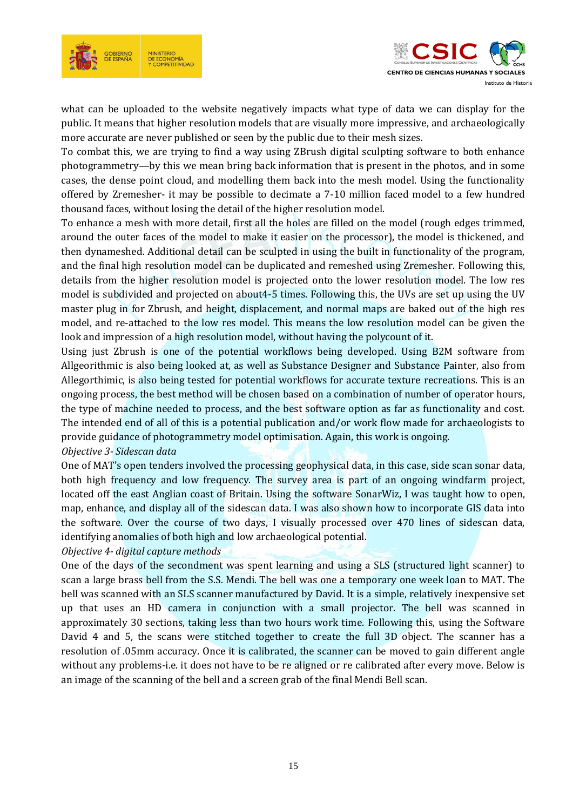



what can be uploaded to the website negatively impacts what type of data we can display for the public. It means that higher resolution models that are visually more impressive, and archaeologically more accurate are never published or seen by the public due to their mesh sizes.

To combat this, we are trying to find a way using ZBrush digital sculpting software to both enhance photogrammetry—by this we mean bring back information that is present in the photos, and in some cases, the dense point cloud, and modelling them back into the mesh model. Using the functionality offered by Zremesher- it may be possible to decimate a 7-10 million faced model to a few hundred thousand faces, without losing the detail of the higher resolution model.

To enhance a mesh with more detail, first all the holes are filled on the model (rough edges trimmed, around the outer faces of the model to make it easier on the processor), the model is thickened, and then dynameshed. Additional detail can be sculpted in using the built in functionality of the program, and the final high resolution model can be duplicated and remeshed using Zremesher. Following this, details from the higher resolution model is projected onto the lower resolution model. The low res model is subdivided and projected on about4-5 times. Following this, the UVs are set up using the UV master plug in for Zbrush, and height, displacement, and normal maps are baked out of the high res model, and re-attached to the low res model. This means the low resolution model can be given the look and impression of a high resolution model, without having the polycount of it.

Using just Zbrush is one of the potential workflows being developed. Using B2M software from Allgeorithmic is also being looked at, as well as Substance Designer and Substance Painter, also from Allegorthimic, is also being tested for potential workflows for accurate texture recreations. This is an ongoing process, the best method will be chosen based on a combination of number of operator hours, the type of machine needed to process, and the best software option as far as functionality and cost. The intended end of all of this is a potential publication and/or work flow made for archaeologists to provide guidance of photogrammetry model optimisation. Again, this work is ongoing.

## *Objective 3- Sidescan data*

One of MAT's open tenders involved the processing geophysical data, in this case, side scan sonar data, both high frequency and low frequency. The survey area is part of an ongoing windfarm project, located off the east Anglian coast of Britain. Using the software SonarWiz, I was taught how to open, map, enhance, and display all of the sidescan data. I was also shown how to incorporate GIS data into the software. Over the course of two days, I visually processed over 470 lines of sidescan data, identifying anomalies of both high and low archaeological potential.

#### *Objective 4- digital capture methods*

One of the days of the secondment was spent learning and using a SLS (structured light scanner) to scan a large brass bell from the S.S. Mendi. The bell was one a temporary one week loan to MAT. The bell was scanned with an SLS scanner manufactured by David. It is a simple, relatively inexpensive set up that uses an HD camera in conjunction with a small projector. The bell was scanned in approximately 30 sections, taking less than two hours work time. Following this, using the Software David 4 and 5, the scans were stitched together to create the full 3D object. The scanner has a resolution of .05mm accuracy. Once it is calibrated, the scanner can be moved to gain different angle without any problems-i.e. it does not have to be re aligned or re calibrated after every move. Below is an image of the scanning of the bell and a screen grab of the final Mendi Bell scan.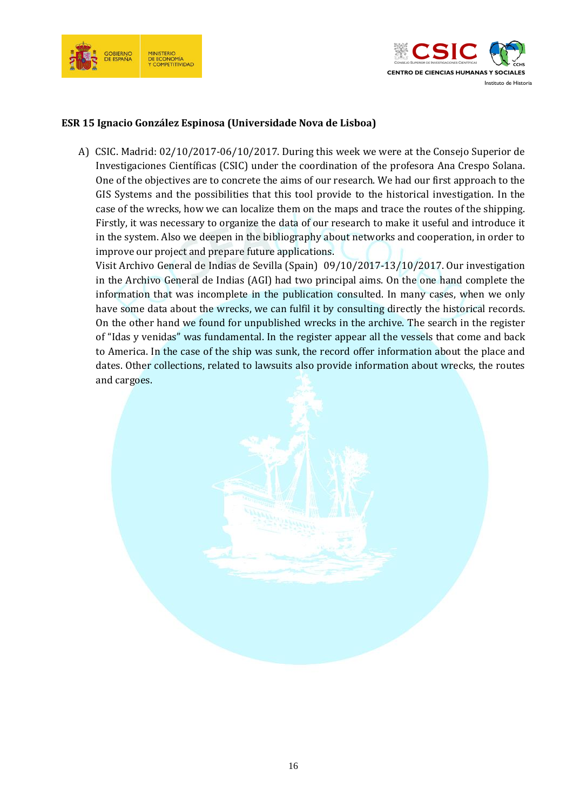



## **ESR 15 Ignacio González Espinosa (Universidade Nova de Lisboa)**

A) CSIC. Madrid: 02/10/2017-06/10/2017. During this week we were at the Consejo Superior de Investigaciones Científicas (CSIC) under the coordination of the profesora Ana Crespo Solana. One of the objectives are to concrete the aims of our research. We had our first approach to the GIS Systems and the possibilities that this tool provide to the historical investigation. In the case of the wrecks, how we can localize them on the maps and trace the routes of the shipping. Firstly, it was necessary to organize the data of our research to make it useful and introduce it in the system. Also we deepen in the bibliography about networks and cooperation, in order to improve our project and prepare future applications.

Visit Archivo General de Indias de Sevilla (Spain) 09/10/2017-13/10/2017. Our investigation in the Archivo General de Indias (AGI) had two principal aims. On the one hand complete the information that was incomplete in the publication consulted. In many cases, when we only have some data about the wrecks, we can fulfil it by consulting directly the historical records. On the other hand we found for unpublished wrecks in the archive. The search in the register of "Idas y venidas" was fundamental. In the register appear all the vessels that come and back to America. In the case of the ship was sunk, the record offer information about the place and dates. Other collections, related to lawsuits also provide information about wrecks, the routes and cargoes.

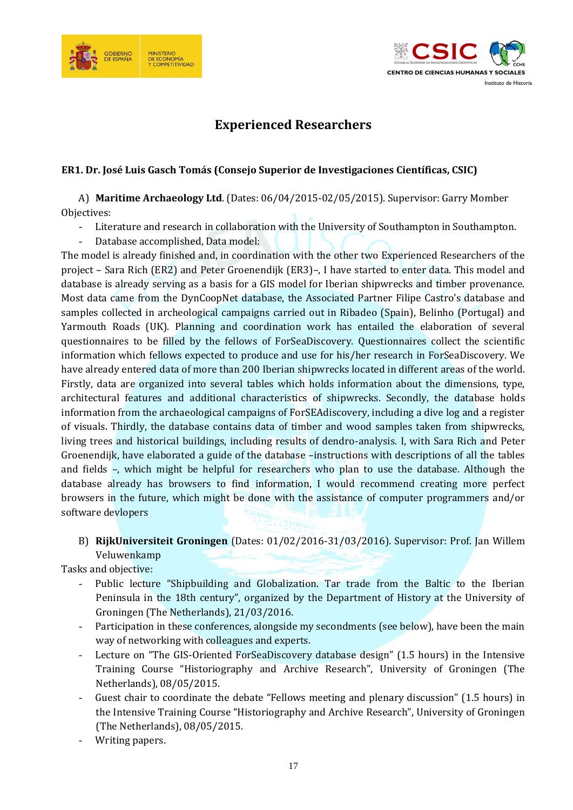



# **Experienced Researchers**

## **ER1. Dr. José Luis Gasch Tomás (Consejo Superior de Investigaciones Científicas, CSIC)**

A) **Maritime Archaeology Ltd**. (Dates: 06/04/2015-02/05/2015). Supervisor: Garry Momber Objectives:

- Literature and research in collaboration with the University of Southampton in Southampton.
- Database accomplished, Data model:

The model is already finished and, in coordination with the other two Experienced Researchers of the project – Sara Rich (ER2) and Peter Groenendijk (ER3)–, I have started to enter data. This model and database is already serving as a basis for a GIS model for Iberian shipwrecks and timber provenance. Most data came from the DynCoopNet database, the Associated Partner Filipe Castro's database and samples collected in archeological campaigns carried out in Ribadeo (Spain), Belinho (Portugal) and Yarmouth Roads (UK). Planning and coordination work has entailed the elaboration of several questionnaires to be filled by the fellows of ForSeaDiscovery. Questionnaires collect the scientific information which fellows expected to produce and use for his/her research in ForSeaDiscovery. We have already entered data of more than 200 Iberian shipwrecks located in different areas of the world. Firstly, data are organized into several tables which holds information about the dimensions, type, architectural features and additional characteristics of shipwrecks. Secondly, the database holds information from the archaeological campaigns of ForSEAdiscovery, including a dive log and a register of visuals. Thirdly, the database contains data of timber and wood samples taken from shipwrecks, living trees and historical buildings, including results of dendro-analysis. I, with Sara Rich and Peter Groenendijk, have elaborated a guide of the database –instructions with descriptions of all the tables and fields –, which might be helpful for researchers who plan to use the database. Although the database already has browsers to find information, I would recommend creating more perfect browsers in the future, which might be done with the assistance of computer programmers and/or software devlopers

B) **RijkUniversiteit Groningen** (Dates: 01/02/2016-31/03/2016). Supervisor: Prof. Jan Willem Veluwenkamp

Tasks and objective:

- Public lecture "Shipbuilding and Globalization. Tar trade from the Baltic to the Iberian Peninsula in the 18th century", organized by the Department of History at the University of Groningen (The Netherlands), 21/03/2016.
- Participation in these conferences, alongside my secondments (see below), have been the main way of networking with colleagues and experts.
- Lecture on "The GIS-Oriented ForSeaDiscovery database design" (1.5 hours) in the Intensive Training Course "Historiography and Archive Research", University of Groningen (The Netherlands), 08/05/2015.
- Guest chair to coordinate the debate "Fellows meeting and plenary discussion" (1.5 hours) in the Intensive Training Course "Historiography and Archive Research", University of Groningen (The Netherlands), 08/05/2015.
- Writing papers.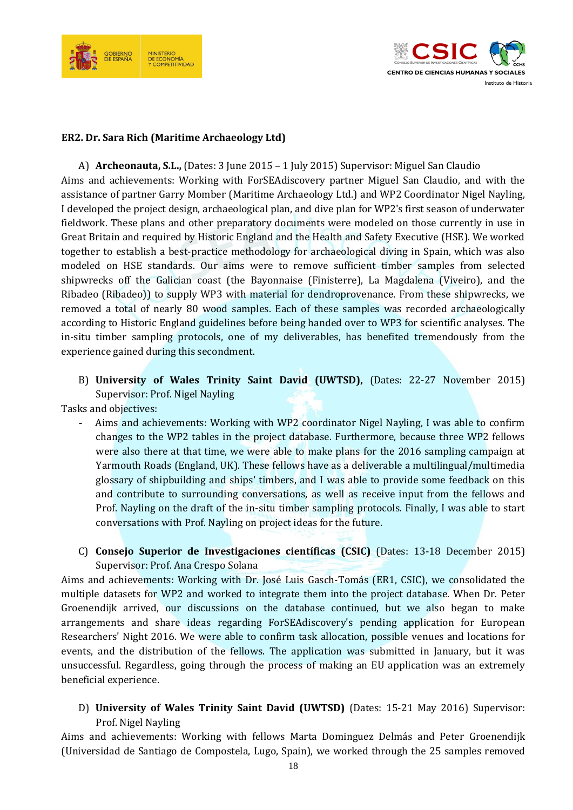



#### **ER2. Dr. Sara Rich (Maritime Archaeology Ltd)**

A) **Archeonauta, S.L.,** (Dates: 3 June 2015 – 1 July 2015) Supervisor: Miguel San Claudio Aims and achievements: Working with ForSEAdiscovery partner Miguel San Claudio, and with the assistance of partner Garry Momber (Maritime Archaeology Ltd.) and WP2 Coordinator Nigel Nayling, I developed the project design, archaeological plan, and dive plan for WP2's first season of underwater fieldwork. These plans and other preparatory documents were modeled on those currently in use in Great Britain and required by Historic England and the Health and Safety Executive (HSE). We worked together to establish a best-practice methodology for archaeological diving in Spain, which was also modeled on HSE standards. Our aims were to remove sufficient timber samples from selected shipwrecks off the Galician coast (the Bayonnaise (Finisterre), La Magdalena (Viveiro), and the Ribadeo (Ribadeo)) to supply WP3 with material for dendroprovenance. From these shipwrecks, we removed a total of nearly 80 wood samples. Each of these samples was recorded archaeologically according to Historic England guidelines before being handed over to WP3 for scientific analyses. The in-situ timber sampling protocols, one of my deliverables, has benefited tremendously from the experience gained during this secondment.

B) **University of Wales Trinity Saint David (UWTSD),** (Dates: 22-27 November 2015) Supervisor: Prof. Nigel Nayling

Tasks and objectives:

- Aims and achievements: Working with WP2 coordinator Nigel Nayling, I was able to confirm changes to the WP2 tables in the project database. Furthermore, because three WP2 fellows were also there at that time, we were able to make plans for the 2016 sampling campaign at Yarmouth Roads (England, UK). These fellows have as a deliverable a multilingual/multimedia glossary of shipbuilding and ships' timbers, and I was able to provide some feedback on this and contribute to surrounding conversations, as well as receive input from the fellows and Prof. Nayling on the draft of the in-situ timber sampling protocols. Finally, I was able to start conversations with Prof. Nayling on project ideas for the future.
- C) **Consejo Superior de Investigaciones científicas (CSIC)** (Dates: 13-18 December 2015) Supervisor: Prof. Ana Crespo Solana

Aims and achievements: Working with Dr. José Luis Gasch-Tomás (ER1, CSIC), we consolidated the multiple datasets for WP2 and worked to integrate them into the project database. When Dr. Peter Groenendijk arrived, our discussions on the database continued, but we also began to make arrangements and share ideas regarding ForSEAdiscovery's pending application for European Researchers' Night 2016. We were able to confirm task allocation, possible venues and locations for events, and the distribution of the fellows. The application was submitted in January, but it was unsuccessful. Regardless, going through the process of making an EU application was an extremely beneficial experience.

D) **University of Wales Trinity Saint David (UWTSD)** (Dates: 15-21 May 2016) Supervisor: Prof. Nigel Nayling

Aims and achievements: Working with fellows Marta Dominguez Delmás and Peter Groenendijk (Universidad de Santiago de Compostela, Lugo, Spain), we worked through the 25 samples removed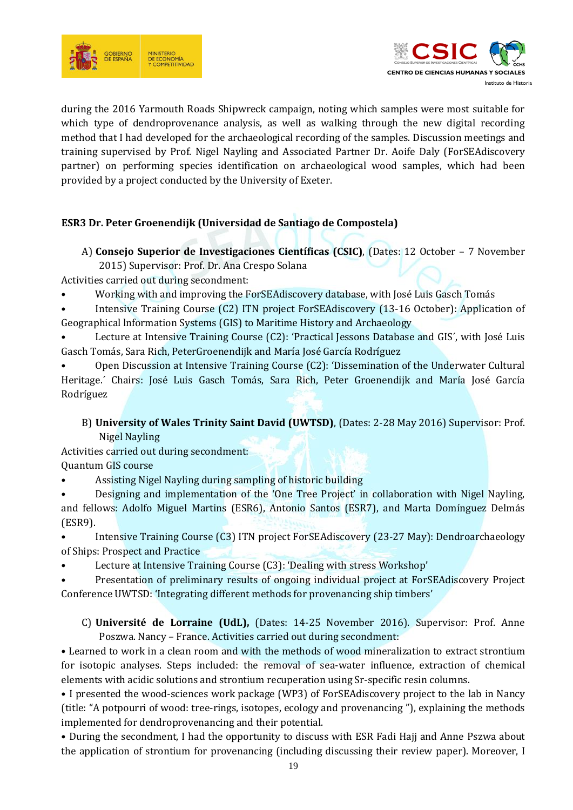



during the 2016 Yarmouth Roads Shipwreck campaign, noting which samples were most suitable for which type of dendroprovenance analysis, as well as walking through the new digital recording method that I had developed for the archaeological recording of the samples. Discussion meetings and training supervised by Prof. Nigel Nayling and Associated Partner Dr. Aoife Daly (ForSEAdiscovery partner) on performing species identification on archaeological wood samples, which had been provided by a project conducted by the University of Exeter.

# **ESR3 Dr. Peter Groenendijk (Universidad de Santiago de Compostela)**

A) **Consejo Superior de Investigaciones Científicas (CSIC)**, (Dates: 12 October – 7 November 2015) Supervisor: Prof. Dr. Ana Crespo Solana

Activities carried out during secondment:

• Working with and improving the ForSEAdiscovery database, with José Luis Gasch Tomás

• Intensive Training Course (C2) ITN project ForSEAdiscovery (13-16 October): Application of Geographical lnformation Systems (GIS) to Maritime History and Archaeology

• Lecture at Intensive Training Course (C2): 'Practical Jessons Database and GIS´, with José Luis Gasch Tomás, Sara Rich, PeterGroenendijk and María José García Rodríguez

• Open Discussion at Intensive Training Course (C2): 'Dissemination of the Underwater Cultural Heritage.´ Chairs: José Luis Gasch Tomás, Sara Rich, Peter Groenendijk and María José García Rodríguez

# B) **University of Wales Trinity Saint David (UWTSD)**, (Dates: 2-28 May 2016) Supervisor: Prof. Nigel Nayling

Activities carried out during secondment: Quantum GIS course

• Assisting Nigel Nayling during sampling of historic building

• Designing and implementation of the 'One Tree Project' in collaboration with Nigel Nayling, and fellows: Adolfo Miguel Martins (ESR6), Antonio Santos (ESR7), and Marta Domínguez Delmás (ESR9).

• Intensive Training Course (C3) ITN project ForSEAdiscovery (23-27 May): Dendroarchaeology of Ships: Prospect and Practice

• Lecture at Intensive Training Course (C3): 'Dealing with stress Workshop'

• Presentation of preliminary results of ongoing individual project at ForSEAdiscovery Project Conference UWTSD: 'Integrating different methods for provenancing ship timbers'

C) **Université de Lorraine (UdL),** (Dates: 14-25 November 2016). Supervisor: Prof. Anne Poszwa. Nancy – France. Activities carried out during secondment:

• Learned to work in a clean room and with the methods of wood mineralization to extract strontium for isotopic analyses. Steps included: the removal of sea-water influence, extraction of chemical elements with acidic solutions and strontium recuperation using Sr-specific resin columns.

• I presented the wood-sciences work package (WP3) of ForSEAdiscovery project to the lab in Nancy (title: "A potpourri of wood: tree-rings, isotopes, ecology and provenancing "), explaining the methods implemented for dendroprovenancing and their potential.

• During the secondment, I had the opportunity to discuss with ESR Fadi Hajj and Anne Pszwa about the application of strontium for provenancing (including discussing their review paper). Moreover, I